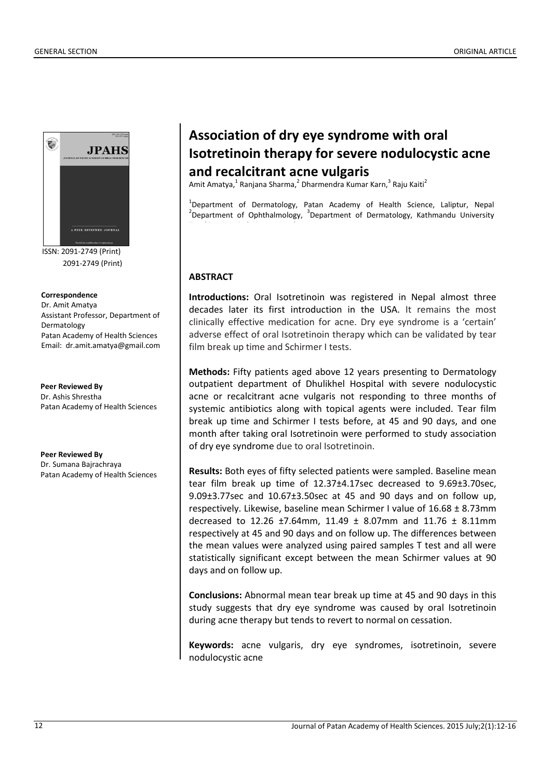

ISSN: 2091-2749 (Print) 2091-2749 (Print)

**Correspondence** Dr. Amit Amatya Assistant Professor, Department of Dermatology Patan Academy of Health Sciences Email: dr.amit.amatya@gmail.com

**Peer Reviewed By** Dr. Ashis Shrestha Patan Academy of Health Sciences

**Peer Reviewed By** Dr. Sumana Bajrachraya Patan Academy of Health Sciences

# **Association of dry eye syndrome with oral Isotretinoin therapy for severe nodulocystic acne and recalcitrant acne vulgaris**

Amit Amatya,<sup>1</sup> Ranjana Sharma,<sup>2</sup> Dharmendra Kumar Karn,<sup>3</sup> Raju Kaiti<sup>2</sup>

<sup>1</sup>Department of Dermatology, Patan Academy of Health Science, Laliptur, Nepal <sup>2</sup>Department of Ophthalmology, <sup>3</sup>Department of Dermatology, Kathmandu University

## **ABSTRACT**

**Introductions:** Oral Isotretinoin was registered in Nepal almost three decades later its first introduction in the USA. It remains the most clinically effective medication for acne. Dry eye syndrome is a 'certain' adverse effect of oral Isotretinoin therapy which can be validated by tear film break up time and Schirmer I tests.

**Methods:** Fifty patients aged above 12 years presenting to Dermatology outpatient department of Dhulikhel Hospital with severe nodulocystic acne or recalcitrant acne vulgaris not responding to three months of systemic antibiotics along with topical agents were included. Tear film break up time and Schirmer I tests before, at 45 and 90 days, and one month after taking oral Isotretinoin were performed to study association of dry eye syndrome due to oral Isotretinoin.

**Results:** Both eyes of fifty selected patients were sampled. Baseline mean tear film break up time of 12.37±4.17sec decreased to 9.69±3.70sec, 9.09±3.77sec and 10.67±3.50sec at 45 and 90 days and on follow up, respectively. Likewise, baseline mean Schirmer I value of 16.68 ± 8.73mm decreased to 12.26 ±7.64mm, 11.49  $\pm$  8.07mm and 11.76  $\pm$  8.11mm respectively at 45 and 90 days and on follow up. The differences between the mean values were analyzed using paired samples T test and all were statistically significant except between the mean Schirmer values at 90 days and on follow up.

**Conclusions:** Abnormal mean tear break up time at 45 and 90 days in this study suggests that dry eye syndrome was caused by oral Isotretinoin during acne therapy but tends to revert to normal on cessation.

**Keywords:** acne vulgaris, dry eye syndromes, isotretinoin, severe nodulocystic acne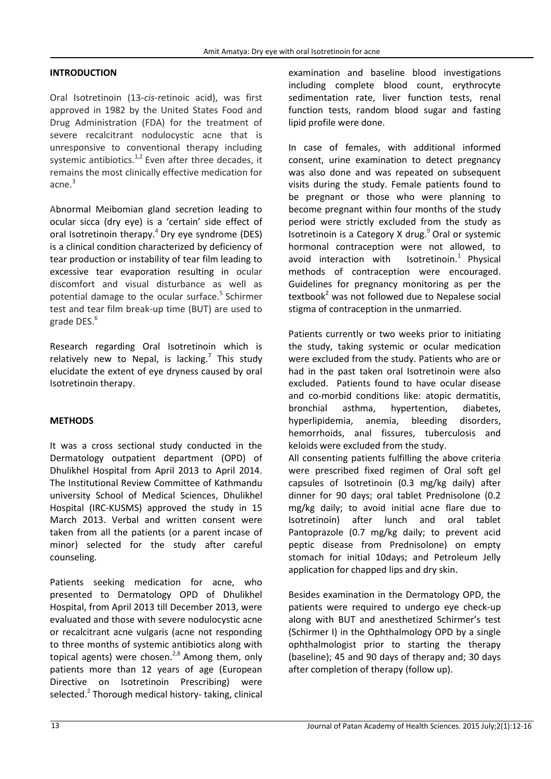## **INTRODUCTION**

Oral Isotretinoin (13-*cis*-retinoic acid), was first approved in 1982 by the United States Food and Drug Administration (FDA) for the treatment of severe recalcitrant nodulocystic acne that is unresponsive to conventional therapy including systemic antibiotics. $1,2$  Even after three decades, it remains the most clinically effective medication for acne.<sup>3</sup>

Abnormal Meibomian gland secretion leading to ocular sicca (dry eye) is a 'certain' side effect of oral Isotretinoin therapy.<sup>4</sup> Dry eye syndrome (DES) is a clinical condition characterized by deficiency of tear production or instability of tear film leading to excessive tear evaporation resulting in ocular discomfort and visual disturbance as well as potential damage to the ocular surface. $5$  Schirmer test and tear film break-up time (BUT) are used to grade DES.<sup>6</sup>

Research regarding Oral Isotretinoin which is relatively new to Nepal, is lacking.<sup>7</sup> This study elucidate the extent of eye dryness caused by oral Isotretinoin therapy.

# **METHODS**

It was a cross sectional study conducted in the Dermatology outpatient department (OPD) of Dhulikhel Hospital from April 2013 to April 2014. The Institutional Review Committee of Kathmandu university School of Medical Sciences, Dhulikhel Hospital (IRC-KUSMS) approved the study in 15 March 2013. Verbal and written consent were taken from all the patients (or a parent incase of minor) selected for the study after careful counseling.

Patients seeking medication for acne, who presented to Dermatology OPD of Dhulikhel Hospital, from April 2013 till December 2013, were evaluated and those with severe nodulocystic acne or recalcitrant acne vulgaris (acne not responding to three months of systemic antibiotics along with topical agents) were chosen.<sup>2,8</sup> Among them, only patients more than 12 years of age (European Directive on Isotretinoin Prescribing) were selected.<sup>2</sup> Thorough medical history- taking, clinical examination and baseline blood investigations including complete blood count, erythrocyte sedimentation rate, liver function tests, renal function tests, random blood sugar and fasting lipid profile were done.

In case of females, with additional informed consent, urine examination to detect pregnancy was also done and was repeated on subsequent visits during the study. Female patients found to be pregnant or those who were planning to become pregnant within four months of the study period were strictly excluded from the study as Isotretinoin is a Category X drug. $9$  Oral or systemic hormonal contraception were not allowed, to avoid interaction with Isotretinoin. $<sup>1</sup>$  Physical</sup> methods of contraception were encouraged. Guidelines for pregnancy monitoring as per the textbook<sup>2</sup> was not followed due to Nepalese social stigma of contraception in the unmarried.

Patients currently or two weeks prior to initiating the study, taking systemic or ocular medication were excluded from the study. Patients who are or had in the past taken oral Isotretinoin were also excluded. Patients found to have ocular disease and co-morbid conditions like: atopic dermatitis, bronchial asthma, hypertention, diabetes, hyperlipidemia, anemia, bleeding disorders, hemorrhoids, anal fissures, tuberculosis and keloids were excluded from the study.

All consenting patients fulfilling the above criteria were prescribed fixed regimen of Oral soft gel capsules of Isotretinoin (0.3 mg/kg daily) after dinner for 90 days; oral tablet Prednisolone (0.2 mg/kg daily; to avoid initial acne flare due to Isotretinoin) after lunch and oral tablet Pantoprazole (0.7 mg/kg daily; to prevent acid peptic disease from Prednisolone) on empty stomach for initial 10days; and Petroleum Jelly application for chapped lips and dry skin.

Besides examination in the Dermatology OPD, the patients were required to undergo eye check-up along with BUT and anesthetized Schirmer's test (Schirmer I) in the Ophthalmology OPD by a single ophthalmologist prior to starting the therapy (baseline); 45 and 90 days of therapy and; 30 days after completion of therapy (follow up).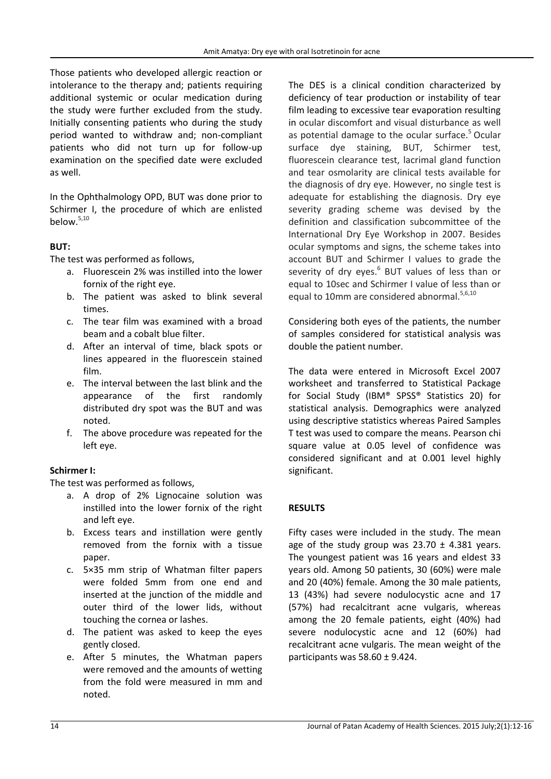Those patients who developed allergic reaction or intolerance to the therapy and; patients requiring additional systemic or ocular medication during the study were further excluded from the study. Initially consenting patients who during the study period wanted to withdraw and; non-compliant patients who did not turn up for follow-up examination on the specified date were excluded as well.

In the Ophthalmology OPD, BUT was done prior to Schirmer I, the procedure of which are enlisted below.5,10

# **BUT:**

The test was performed as follows,

- a. Fluorescein 2% was instilled into the lower fornix of the right eye.
- b. The patient was asked to blink several times.
- c. The tear film was examined with a broad beam and a cobalt blue filter.
- d. After an interval of time, black spots or lines appeared in the fluorescein stained film.
- e. The interval between the last blink and the appearance of the first randomly distributed dry spot was the BUT and was noted.
- f. The above procedure was repeated for the left eye.

# **Schirmer I:**

The test was performed as follows,

- a. A drop of 2% Lignocaine solution was instilled into the lower fornix of the right and left eye.
- b. Excess tears and instillation were gently removed from the fornix with a tissue paper.
- c. 5×35 mm strip of Whatman filter papers were folded 5mm from one end and inserted at the junction of the middle and outer third of the lower lids, without touching the cornea or lashes.
- d. The patient was asked to keep the eyes gently closed.
- e. After 5 minutes, the Whatman papers were removed and the amounts of wetting from the fold were measured in mm and noted.

The DES is a clinical condition characterized by deficiency of tear production or instability of tear film leading to excessive tear evaporation resulting in ocular discomfort and visual disturbance as well as potential damage to the ocular surface.<sup>5</sup> Ocular surface dye staining, BUT, Schirmer test, fluorescein clearance test, lacrimal gland function and tear osmolarity are clinical tests available for the diagnosis of dry eye. However, no single test is adequate for establishing the diagnosis. Dry eye severity grading scheme was devised by the definition and classification subcommittee of the International Dry Eye Workshop in 2007. Besides ocular symptoms and signs, the scheme takes into account BUT and Schirmer I values to grade the severity of dry eyes.<sup>6</sup> BUT values of less than or equal to 10sec and Schirmer I value of less than or equal to 10mm are considered abnormal.<sup>5,6,10</sup>

Considering both eyes of the patients, the number of samples considered for statistical analysis was double the patient number.

The data were entered in Microsoft Excel 2007 worksheet and transferred to Statistical Package for Social Study (IBM® SPSS® Statistics 20) for statistical analysis. Demographics were analyzed using descriptive statistics whereas Paired Samples T test was used to compare the means. Pearson chi square value at 0.05 level of confidence was considered significant and at 0.001 level highly significant.

# **RESULTS**

Fifty cases were included in the study. The mean age of the study group was  $23.70 \pm 4.381$  years. The youngest patient was 16 years and eldest 33 years old. Among 50 patients, 30 (60%) were male and 20 (40%) female. Among the 30 male patients, 13 (43%) had severe nodulocystic acne and 17 (57%) had recalcitrant acne vulgaris, whereas among the 20 female patients, eight (40%) had severe nodulocystic acne and 12 (60%) had recalcitrant acne vulgaris. The mean weight of the participants was 58.60 ± 9.424.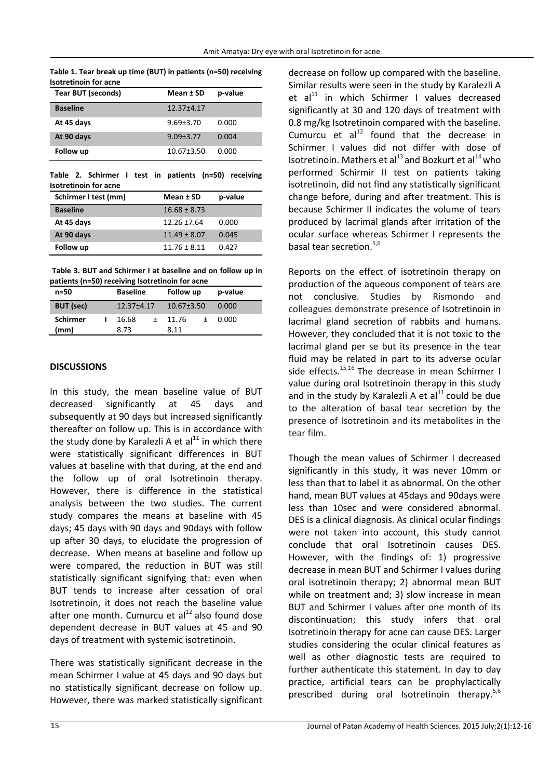| Table 1. Tear break up time (BUT) in patients (n=50) receiving |
|----------------------------------------------------------------|
| <b>Isotretinoin for acne</b>                                   |

| <b>Tear BUT (seconds)</b> | Mean ± SD        | p-value |
|---------------------------|------------------|---------|
| <b>Baseline</b>           | 12.37±4.17       |         |
| At 45 days                | $9.69 + 3.70$    | 0.000   |
| At 90 days                | $9.09 + 3.77$    | 0.004   |
| Follow up                 | $10.67 \pm 3.50$ | 0.000   |

**Table 2. Schirmer I test in patients (n=50) receiving Isotretinoin for acne** 

| Schirmer I test (mm) | Mean ± SD        | p-value |
|----------------------|------------------|---------|
| <b>Baseline</b>      | $16.68 \pm 8.73$ |         |
| At 45 days           | $12.26 \pm 7.64$ | 0.000   |
| At 90 days           | $11.49 \pm 8.07$ | 0.045   |
| Follow up            | $11.76 \pm 8.11$ | 0.427   |

**Table 3. BUT and Schirmer I at baseline and on follow up in patients (n=50) receiving Isotretinoin for acne** 

| n=50             | <b>Baseline</b> |        | Follow up        |           | p-value |  |
|------------------|-----------------|--------|------------------|-----------|---------|--|
| <b>BUT</b> (sec) | 12.37±4.17      |        | $10.67 \pm 3.50$ |           | 0.000   |  |
| <b>Schirmer</b>  | 16.68           | $^{+}$ | 11.76            | $\ddot{}$ | 0.000   |  |
| (mm)             | 8.73            |        | 8.11             |           |         |  |

## **DISCUSSIONS**

In this study, the mean baseline value of BUT decreased significantly at 45 days and subsequently at 90 days but increased significantly thereafter on follow up. This is in accordance with the study done by Karalezli A et  $al<sup>11</sup>$  in which there were statistically significant differences in BUT values at baseline with that during, at the end and the follow up of oral Isotretinoin therapy. However, there is difference in the statistical analysis between the two studies. The current study compares the means at baseline with 45 days; 45 days with 90 days and 90days with follow up after 30 days, to elucidate the progression of decrease. When means at baseline and follow up were compared, the reduction in BUT was still statistically significant signifying that: even when BUT tends to increase after cessation of oral Isotretinoin, it does not reach the baseline value after one month. Cumurcu et  $al<sup>12</sup>$  also found dose dependent decrease in BUT values at 45 and 90 days of treatment with systemic isotretinoin.

There was statistically significant decrease in the mean Schirmer I value at 45 days and 90 days but no statistically significant decrease on follow up. However, there was marked statistically significant decrease on follow up compared with the baseline. Similar results were seen in the study by Karalezli A et al $^{11}$  in which Schirmer I values decreased significantly at 30 and 120 days of treatment with 0.8 mg/kg Isotretinoin compared with the baseline. Cumurcu et  $al<sup>12</sup>$  found that the decrease in Schirmer I values did not differ with dose of Isotretinoin. Mathers et al $^{13}$  and Bozkurt et al $^{14}$  who performed Schirmir II test on patients taking isotretinoin, did not find any statistically significant change before, during and after treatment. This is because Schirmer II indicates the volume of tears produced by lacrimal glands after irritation of the ocular surface whereas Schirmer I represents the basal tear secretion.<sup>5,6</sup>

Reports on the effect of isotretinoin therapy on production of the aqueous component of tears are not conclusive. Studies by Rismondo and colleagues demonstrate presence of Isotretinoin in lacrimal gland secretion of rabbits and humans. However, they concluded that it is not toxic to the lacrimal gland per se but its presence in the tear fluid may be related in part to its adverse ocular side effects. $15,16$  The decrease in mean Schirmer I value during oral Isotretinoin therapy in this study and in the study by Karalezli A et al $^{11}$  could be due to the alteration of basal tear secretion by the presence of Isotretinoin and its metabolites in the tear film.

Though the mean values of Schirmer I decreased significantly in this study, it was never 10mm or less than that to label it as abnormal. On the other hand, mean BUT values at 45days and 90days were less than 10sec and were considered abnormal. DES is a clinical diagnosis. As clinical ocular findings were not taken into account, this study cannot conclude that oral Isotretinoin causes DES. However, with the findings of: 1) progressive decrease in mean BUT and Schirmer I values during oral isotretinoin therapy; 2) abnormal mean BUT while on treatment and; 3) slow increase in mean BUT and Schirmer I values after one month of its discontinuation; this study infers that oral Isotretinoin therapy for acne can cause DES. Larger studies considering the ocular clinical features as well as other diagnostic tests are required to further authenticate this statement. In day to day practice, artificial tears can be prophylactically prescribed during oral Isotretinoin therapy. $5,6$